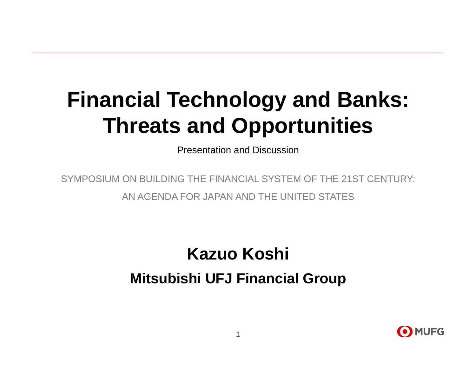# **Financial Technology and Banks: Threats and Opportunities**

Presentation and Discussion

SYMPOSIUM ON BUILDING THE FINANCIAL SYSTEM OF THE 21ST CENTURY: AN AGENDA FOR JAPAN AND THE UNITED STATES

## **Kazuo Koshi Mitsubishi UFJ Financial Group**

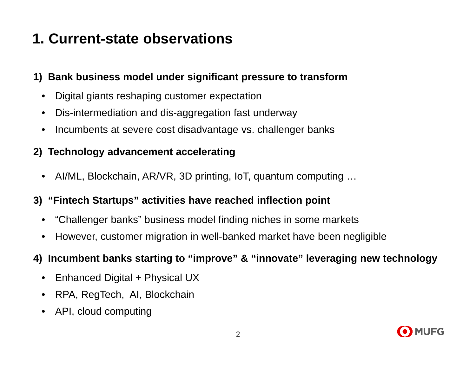### **1. Current-state observations**

#### **1) Bank business model under significant pressure to transform**

- $\bullet$ Digital giants reshaping customer expectation
- $\bullet$ Dis-intermediation and dis-aggregation fast underway
- •Incumbents at severe cost disadvantage vs. challenger banks

#### **2) Technology advancement accelerating**

 $\bullet$ AI/ML, Blockchain, AR/VR, 3D printing, IoT, quantum computing …

#### **3) "Fintech Startups" activities have reached inflection point**

- $\bullet$ "Challenger banks" business model finding niches in some markets
- $\bullet$ However, customer migration in well-banked market have been negligible

#### **4) Incumbent banks starting to "improve" & "innovate" leveraging new technology**

- $\bullet$ Enhanced Digital + Physical UX
- $\bullet$ RPA, RegTech, AI, Blockchain
- •API, cloud computing

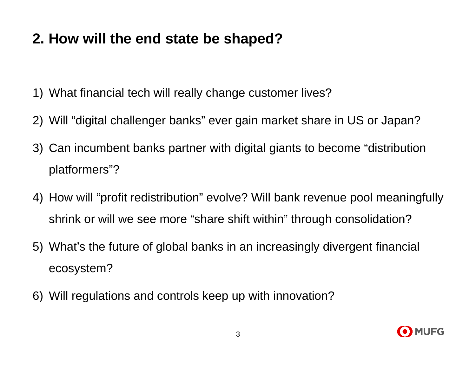- 1) What financial tech will really change customer lives?
- 2) Will "digital challenger banks" ever gain market share in US or Japan?
- 3) Can incumbent banks partner with digital giants to become "distribution platformers"?
- 4) How will "profit redistribution" evolve? Will bank revenue pool meaningfully shrink or will we see more "share shift within" through consolidation?
- 5) What's the future of global banks in an increasingly divergent financial ecosystem?
- 6) Will regulations and controls keep up with innovation?

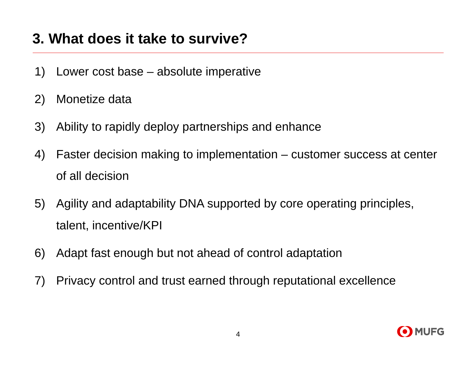### **3. What does it take to survive?**

- 1) Lower cost base absolute imperative
- 2) Monetize data
- 3) Ability to rapidly deploy partnerships and enhance
- 4) Faster decision making to implementation customer success at center of all decision
- 5) Agility and adaptability DNA supported by core operating principles, talent, incentive/KPI
- 6) Adapt fast enough but not ahead of control adaptation
- 7) Privacy control and trust earned through reputational excellence

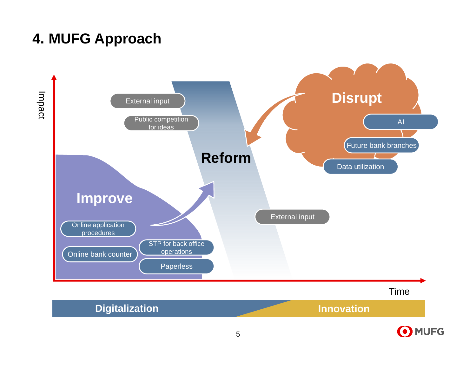### **4. MUFG Approach**